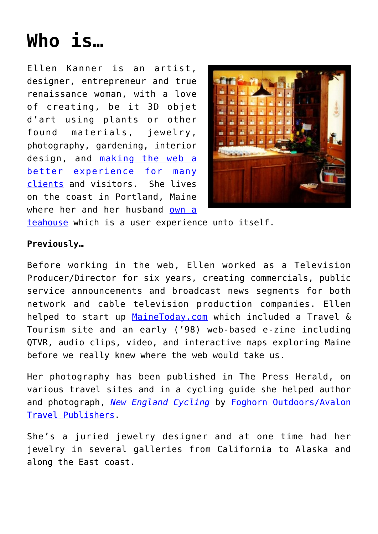## **[Who is…](https://www.ellenkanner.com/who-is/)**

Ellen Kanner is an artist, designer, entrepreneur and true renaissance woman, with a love of creating, be it 3D objet d'art using plants or other found materials, jewelry, photography, gardening, interior design, and [making the web a](http://www.kannerkreative.com) [better experience for many](http://www.kannerkreative.com) [clients](http://www.kannerkreative.com) and visitors. She lives on the coast in Portland, Maine where her and her husband [own a](http://www.dobrateame.com)



[teahouse](http://www.dobrateame.com) which is a user experience unto itself.

## **Previously…**

Before working in the web, Ellen worked as a Television Producer/Director for six years, creating commercials, public service announcements and broadcast news segments for both network and cable television production companies. Ellen helped to start up [MaineToday.com](http://www.mainetoday.com) which included a Travel & Tourism site and an early ('98) web-based e-zine including QTVR, audio clips, video, and interactive maps exploring Maine before we really knew where the web would take us.

Her photography has been published in The Press Herald, on various travel sites and in a cycling guide she helped author and photograph, *[New England Cycling](http://www.amazon.com/gp/reader/1566917441/ref=sib_rdr_ex/002-6953264-3878442?%5Fencoding=UTF8&p=S00T)* by [Foghorn Outdoors/Avalon](http://www.foghorn.com) [Travel Publishers.](http://www.foghorn.com)

She's a juried jewelry designer and at one time had her jewelry in several galleries from California to Alaska and along the East coast.